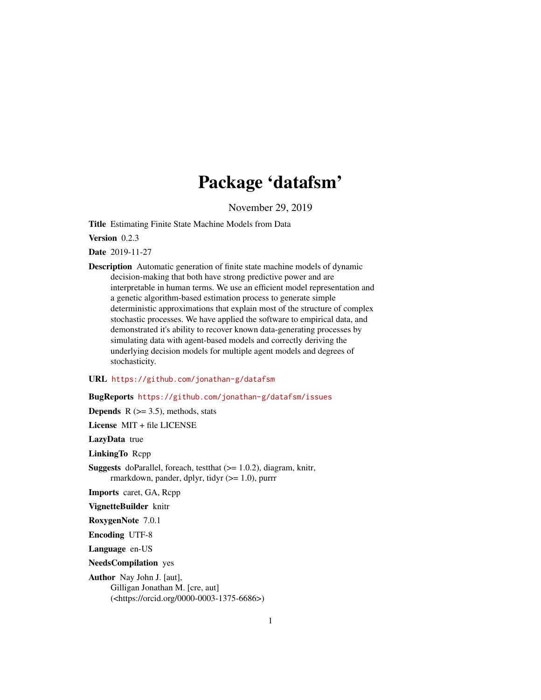# Package 'datafsm'

November 29, 2019

Title Estimating Finite State Machine Models from Data

Version 0.2.3

Date 2019-11-27

Description Automatic generation of finite state machine models of dynamic decision-making that both have strong predictive power and are interpretable in human terms. We use an efficient model representation and a genetic algorithm-based estimation process to generate simple deterministic approximations that explain most of the structure of complex stochastic processes. We have applied the software to empirical data, and demonstrated it's ability to recover known data-generating processes by simulating data with agent-based models and correctly deriving the underlying decision models for multiple agent models and degrees of stochasticity.

URL <https://github.com/jonathan-g/datafsm>

BugReports <https://github.com/jonathan-g/datafsm/issues>

**Depends** R  $(>= 3.5)$ , methods, stats License MIT + file LICENSE LazyData true LinkingTo Rcpp **Suggests** doParallel, foreach, test that  $(>= 1.0.2)$ , diagram, knitr, rmarkdown, pander, dplyr, tidyr (>= 1.0), purrr Imports caret, GA, Rcpp VignetteBuilder knitr RoxygenNote 7.0.1 Encoding UTF-8 Language en-US

NeedsCompilation yes

Author Nay John J. [aut], Gilligan Jonathan M. [cre, aut] (<https://orcid.org/0000-0003-1375-6686>)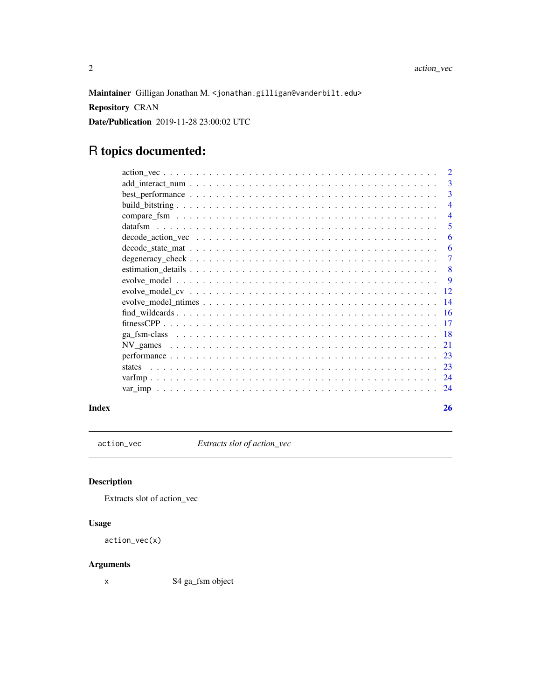<span id="page-1-0"></span>Maintainer Gilligan Jonathan M. <jonathan.gilligan@vanderbilt.edu>

Repository CRAN

Date/Publication 2019-11-28 23:00:02 UTC

# R topics documented:

|                                                                                                                                                                                                                                                                                                                                                                                         | $\overline{2}$  |
|-----------------------------------------------------------------------------------------------------------------------------------------------------------------------------------------------------------------------------------------------------------------------------------------------------------------------------------------------------------------------------------------|-----------------|
|                                                                                                                                                                                                                                                                                                                                                                                         | 3               |
|                                                                                                                                                                                                                                                                                                                                                                                         | 3               |
|                                                                                                                                                                                                                                                                                                                                                                                         | 4               |
|                                                                                                                                                                                                                                                                                                                                                                                         | $\overline{4}$  |
|                                                                                                                                                                                                                                                                                                                                                                                         | 5               |
|                                                                                                                                                                                                                                                                                                                                                                                         | 6               |
| $decode_ = state_ - mat_ - \ldots  - \ldots  - \ldots  - \ldots  - \ldots  - \ldots  - \ldots  - \ldots  - \ldots  - \ldots  - \ldots  - \ldots  - \ldots  - \ldots  - \ldots  - \ldots  - \ldots  - \ldots  - \ldots  - \ldots  - \ldots  - \ldots  - \ldots  - \ldots  - \ldots  - \ldots  - \ldots  - \ldots  - \ldots  - \ldots  - \ldots  - \ldots  - \ldots  - \ldots  - \ldots $ | 6               |
|                                                                                                                                                                                                                                                                                                                                                                                         | 7               |
|                                                                                                                                                                                                                                                                                                                                                                                         | 8               |
|                                                                                                                                                                                                                                                                                                                                                                                         | 9               |
|                                                                                                                                                                                                                                                                                                                                                                                         | -12             |
|                                                                                                                                                                                                                                                                                                                                                                                         |                 |
|                                                                                                                                                                                                                                                                                                                                                                                         |                 |
|                                                                                                                                                                                                                                                                                                                                                                                         | $\overline{17}$ |
|                                                                                                                                                                                                                                                                                                                                                                                         |                 |
|                                                                                                                                                                                                                                                                                                                                                                                         | 21              |
|                                                                                                                                                                                                                                                                                                                                                                                         |                 |
| states                                                                                                                                                                                                                                                                                                                                                                                  |                 |
|                                                                                                                                                                                                                                                                                                                                                                                         |                 |
|                                                                                                                                                                                                                                                                                                                                                                                         |                 |
|                                                                                                                                                                                                                                                                                                                                                                                         |                 |

#### **Index** [26](#page-25-0)

action\_vec *Extracts slot of action\_vec*

# Description

Extracts slot of action\_vec

# Usage

```
action_vec(x)
```
# Arguments

x S4 ga\_fsm object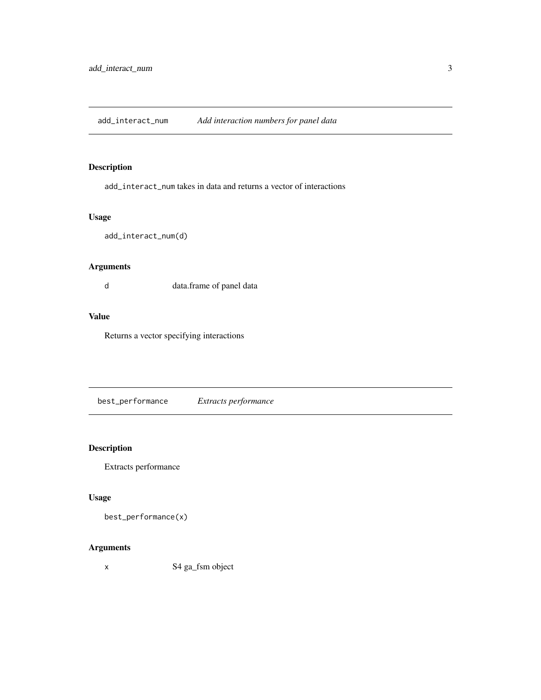<span id="page-2-0"></span>add\_interact\_num *Add interaction numbers for panel data*

# Description

add\_interact\_num takes in data and returns a vector of interactions

# Usage

add\_interact\_num(d)

# Arguments

d data.frame of panel data

# Value

Returns a vector specifying interactions

best\_performance *Extracts performance*

# Description

Extracts performance

## Usage

```
best_performance(x)
```
# Arguments

x S4 ga\_fsm object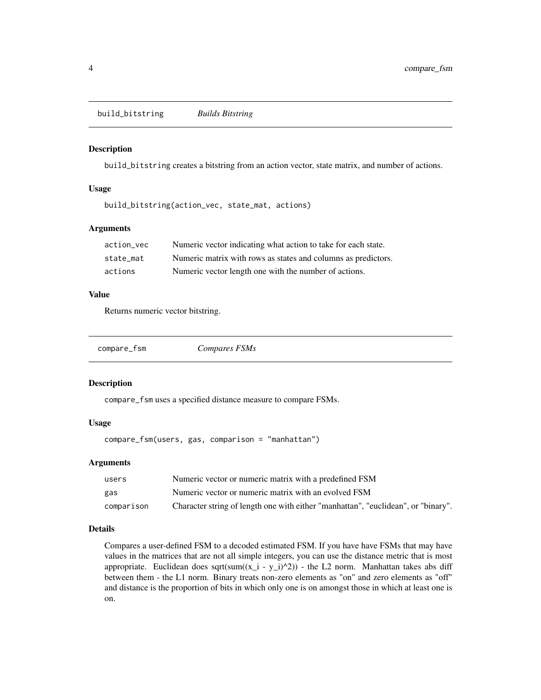<span id="page-3-1"></span><span id="page-3-0"></span>build\_bitstring *Builds Bitstring*

#### Description

build\_bitstring creates a bitstring from an action vector, state matrix, and number of actions.

#### Usage

build\_bitstring(action\_vec, state\_mat, actions)

#### Arguments

| action vec | Numeric vector indicating what action to take for each state. |
|------------|---------------------------------------------------------------|
| state mat  | Numeric matrix with rows as states and columns as predictors. |
| actions    | Numeric vector length one with the number of actions.         |

# Value

Returns numeric vector bitstring.

<span id="page-3-2"></span>

| compare_fsm | Compares FSMs |  |
|-------------|---------------|--|
|             |               |  |

#### Description

compare\_fsm uses a specified distance measure to compare FSMs.

## Usage

compare\_fsm(users, gas, comparison = "manhattan")

# Arguments

| users      | Numeric vector or numeric matrix with a predefined FSM                            |
|------------|-----------------------------------------------------------------------------------|
| gas        | Numeric vector or numeric matrix with an evolved FSM                              |
| comparison | Character string of length one with either "manhattan", "euclidean", or "binary". |

# Details

Compares a user-defined FSM to a decoded estimated FSM. If you have have FSMs that may have values in the matrices that are not all simple integers, you can use the distance metric that is most appropriate. Euclidean does sqrt(sum( $(x_i - y_i)$ <sup>2</sup>) - the L2 norm. Manhattan takes abs diff between them - the L1 norm. Binary treats non-zero elements as "on" and zero elements as "off" and distance is the proportion of bits in which only one is on amongst those in which at least one is on.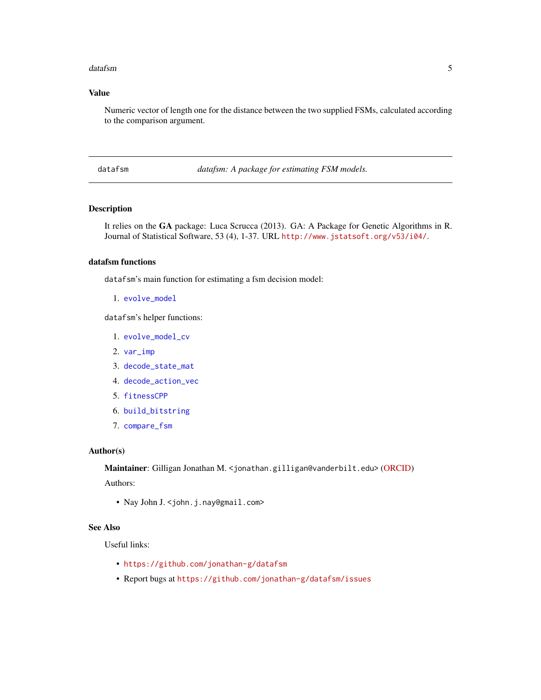#### <span id="page-4-0"></span>datafsm 5

# Value

Numeric vector of length one for the distance between the two supplied FSMs, calculated according to the comparison argument.

datafsm *datafsm: A package for estimating FSM models.* 

# Description

It relies on the GA package: Luca Scrucca (2013). GA: A Package for Genetic Algorithms in R. Journal of Statistical Software, 53 (4), 1-37. URL <http://www.jstatsoft.org/v53/i04/>.

# datafsm functions

datafsm's main function for estimating a fsm decision model:

```
1. evolve_model
```
datafsm's helper functions:

- 1. [evolve\\_model\\_cv](#page-11-1)
- 2. [var\\_imp](#page-23-1)
- 3. [decode\\_state\\_mat](#page-5-1)
- 4. [decode\\_action\\_vec](#page-5-2)
- 5. [fitnessCPP](#page-16-1)
- 6. [build\\_bitstring](#page-3-1)
- 7. [compare\\_fsm](#page-3-2)

# Author(s)

Maintainer: Gilligan Jonathan M. <jonathan.gilligan@vanderbilt.edu> [\(ORCID\)](https://orcid.org/0000-0003-1375-6686)

Authors:

• Nay John J. < john. j. nay@gmail.com>

#### See Also

Useful links:

- <https://github.com/jonathan-g/datafsm>
- Report bugs at <https://github.com/jonathan-g/datafsm/issues>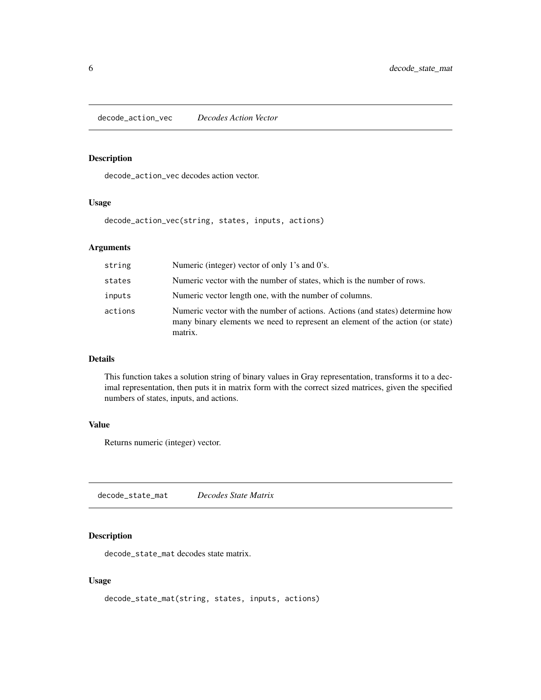<span id="page-5-2"></span><span id="page-5-0"></span>decode\_action\_vec *Decodes Action Vector*

# Description

decode\_action\_vec decodes action vector.

#### Usage

decode\_action\_vec(string, states, inputs, actions)

# Arguments

| string  | Numeric (integer) vector of only 1's and 0's.                                                                                                                             |
|---------|---------------------------------------------------------------------------------------------------------------------------------------------------------------------------|
| states  | Numeric vector with the number of states, which is the number of rows.                                                                                                    |
| inputs  | Numeric vector length one, with the number of columns.                                                                                                                    |
| actions | Numeric vector with the number of actions. Actions (and states) determine how<br>many binary elements we need to represent an element of the action (or state)<br>matrix. |

# Details

This function takes a solution string of binary values in Gray representation, transforms it to a decimal representation, then puts it in matrix form with the correct sized matrices, given the specified numbers of states, inputs, and actions.

#### Value

Returns numeric (integer) vector.

<span id="page-5-1"></span>decode\_state\_mat *Decodes State Matrix*

#### Description

decode\_state\_mat decodes state matrix.

#### Usage

decode\_state\_mat(string, states, inputs, actions)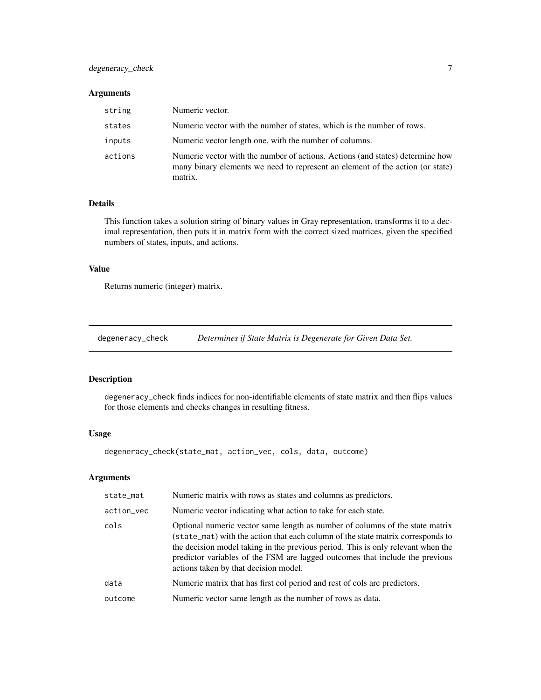# <span id="page-6-0"></span>degeneracy\_check 7

#### Arguments

| string  | Numeric vector.                                                                                                                                                           |
|---------|---------------------------------------------------------------------------------------------------------------------------------------------------------------------------|
| states  | Numeric vector with the number of states, which is the number of rows.                                                                                                    |
| inputs  | Numeric vector length one, with the number of columns.                                                                                                                    |
| actions | Numeric vector with the number of actions. Actions (and states) determine how<br>many binary elements we need to represent an element of the action (or state)<br>matrix. |

# Details

This function takes a solution string of binary values in Gray representation, transforms it to a decimal representation, then puts it in matrix form with the correct sized matrices, given the specified numbers of states, inputs, and actions.

## Value

Returns numeric (integer) matrix.

<span id="page-6-1"></span>degeneracy\_check *Determines if State Matrix is Degenerate for Given Data Set.*

# Description

degeneracy\_check finds indices for non-identifiable elements of state matrix and then flips values for those elements and checks changes in resulting fitness.

# Usage

degeneracy\_check(state\_mat, action\_vec, cols, data, outcome)

| state_mat  | Numeric matrix with rows as states and columns as predictors.                                                                                                                                                                                                                                                                                                                |
|------------|------------------------------------------------------------------------------------------------------------------------------------------------------------------------------------------------------------------------------------------------------------------------------------------------------------------------------------------------------------------------------|
| action_vec | Numeric vector indicating what action to take for each state.                                                                                                                                                                                                                                                                                                                |
| cols       | Optional numeric vector same length as number of columns of the state matrix<br>(state_mat) with the action that each column of the state matrix corresponds to<br>the decision model taking in the previous period. This is only relevant when the<br>predictor variables of the FSM are lagged outcomes that include the previous<br>actions taken by that decision model. |
| data       | Numeric matrix that has first col period and rest of cols are predictors.                                                                                                                                                                                                                                                                                                    |
| outcome    | Numeric vector same length as the number of rows as data.                                                                                                                                                                                                                                                                                                                    |
|            |                                                                                                                                                                                                                                                                                                                                                                              |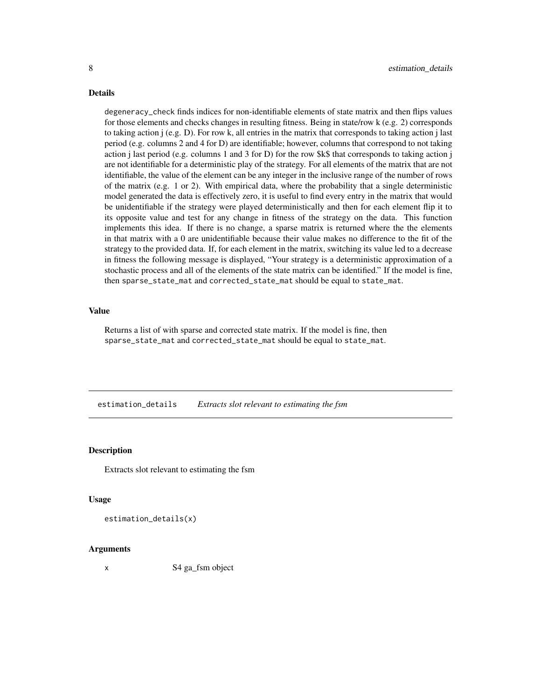# Details

degeneracy\_check finds indices for non-identifiable elements of state matrix and then flips values for those elements and checks changes in resulting fitness. Being in state/row k (e.g. 2) corresponds to taking action  $j$  (e.g. D). For row k, all entries in the matrix that corresponds to taking action j last period (e.g. columns 2 and 4 for D) are identifiable; however, columns that correspond to not taking action j last period (e.g. columns 1 and 3 for D) for the row \$k\$ that corresponds to taking action j are not identifiable for a deterministic play of the strategy. For all elements of the matrix that are not identifiable, the value of the element can be any integer in the inclusive range of the number of rows of the matrix (e.g. 1 or 2). With empirical data, where the probability that a single deterministic model generated the data is effectively zero, it is useful to find every entry in the matrix that would be unidentifiable if the strategy were played deterministically and then for each element flip it to its opposite value and test for any change in fitness of the strategy on the data. This function implements this idea. If there is no change, a sparse matrix is returned where the the elements in that matrix with a 0 are unidentifiable because their value makes no difference to the fit of the strategy to the provided data. If, for each element in the matrix, switching its value led to a decrease in fitness the following message is displayed, "Your strategy is a deterministic approximation of a stochastic process and all of the elements of the state matrix can be identified." If the model is fine, then sparse\_state\_mat and corrected\_state\_mat should be equal to state\_mat.

# Value

Returns a list of with sparse and corrected state matrix. If the model is fine, then sparse\_state\_mat and corrected\_state\_mat should be equal to state\_mat.

estimation\_details *Extracts slot relevant to estimating the fsm*

#### **Description**

Extracts slot relevant to estimating the fsm

#### Usage

estimation\_details(x)

#### Arguments

x S4 ga\_fsm object

<span id="page-7-0"></span>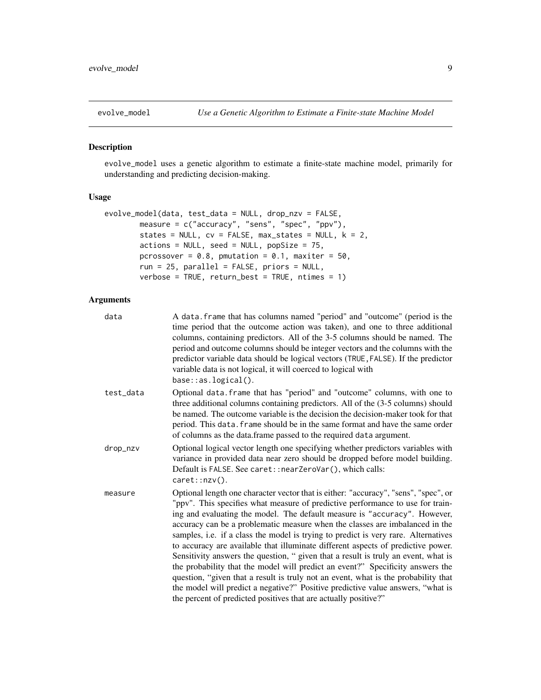<span id="page-8-1"></span><span id="page-8-0"></span>

# Description

evolve\_model uses a genetic algorithm to estimate a finite-state machine model, primarily for understanding and predicting decision-making.

# Usage

```
evolve_model(data, test_data = NULL, drop_nzv = FALSE,
       measure = c("accuracy", "sens", "spec", "ppv"),
       states = NULL, cv = FALSE, max\_states = NULL, k = 2,actions = NULL, seed = NULL, popSize = 75,
       pcrossover = 0.8, pmutation = 0.1, maxiter = 50,
       run = 25, parallel = FALSE, priors = NULL,
       verbose = TRUE, return_best = TRUE, ntimes = 1)
```

| data      | A data. frame that has columns named "period" and "outcome" (period is the<br>time period that the outcome action was taken), and one to three additional<br>columns, containing predictors. All of the 3-5 columns should be named. The<br>period and outcome columns should be integer vectors and the columns with the<br>predictor variable data should be logical vectors (TRUE, FALSE). If the predictor<br>variable data is not logical, it will coerced to logical with<br>base::as.logical().                                                                                                                                                                                                                                                                                                                                                                                                                           |
|-----------|----------------------------------------------------------------------------------------------------------------------------------------------------------------------------------------------------------------------------------------------------------------------------------------------------------------------------------------------------------------------------------------------------------------------------------------------------------------------------------------------------------------------------------------------------------------------------------------------------------------------------------------------------------------------------------------------------------------------------------------------------------------------------------------------------------------------------------------------------------------------------------------------------------------------------------|
| test_data | Optional data. frame that has "period" and "outcome" columns, with one to<br>three additional columns containing predictors. All of the (3-5 columns) should<br>be named. The outcome variable is the decision the decision-maker took for that<br>period. This data. frame should be in the same format and have the same order<br>of columns as the data.frame passed to the required data argument.                                                                                                                                                                                                                                                                                                                                                                                                                                                                                                                           |
| drop_nzv  | Optional logical vector length one specifying whether predictors variables with<br>variance in provided data near zero should be dropped before model building.<br>Default is FALSE. See caret:: nearZeroVar(), which calls:<br>caret::nzv().                                                                                                                                                                                                                                                                                                                                                                                                                                                                                                                                                                                                                                                                                    |
| measure   | Optional length one character vector that is either: "accuracy", "sens", "spec", or<br>"ppv". This specifies what measure of predictive performance to use for train-<br>ing and evaluating the model. The default measure is "accuracy". However,<br>accuracy can be a problematic measure when the classes are imbalanced in the<br>samples, i.e. if a class the model is trying to predict is very rare. Alternatives<br>to accuracy are available that illuminate different aspects of predictive power.<br>Sensitivity answers the question, " given that a result is truly an event, what is<br>the probability that the model will predict an event?" Specificity answers the<br>question, "given that a result is truly not an event, what is the probability that<br>the model will predict a negative?" Positive predictive value answers, "what is<br>the percent of predicted positives that are actually positive?" |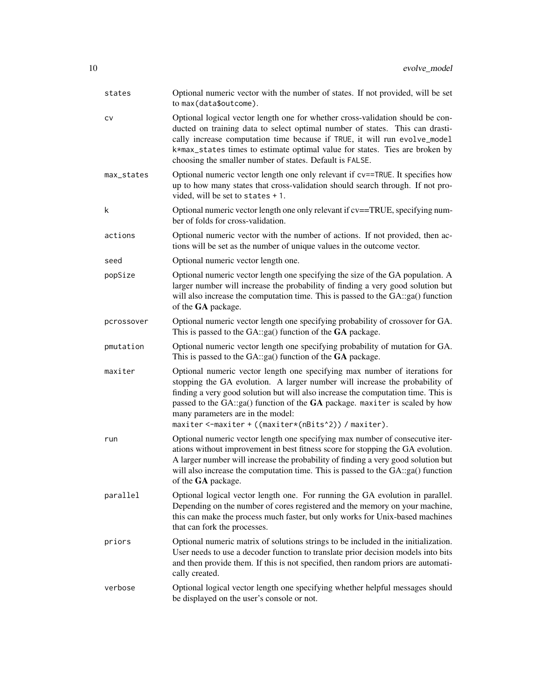| states     | Optional numeric vector with the number of states. If not provided, will be set<br>to max(data\$outcome).                                                                                                                                                                                                                                                                                                                  |
|------------|----------------------------------------------------------------------------------------------------------------------------------------------------------------------------------------------------------------------------------------------------------------------------------------------------------------------------------------------------------------------------------------------------------------------------|
| CV         | Optional logical vector length one for whether cross-validation should be con-<br>ducted on training data to select optimal number of states. This can drasti-<br>cally increase computation time because if TRUE, it will run evolve_model<br>k*max_states times to estimate optimal value for states. Ties are broken by<br>choosing the smaller number of states. Default is FALSE.                                     |
| max_states | Optional numeric vector length one only relevant if cv==TRUE. It specifies how<br>up to how many states that cross-validation should search through. If not pro-<br>vided, will be set to states + 1.                                                                                                                                                                                                                      |
| k          | Optional numeric vector length one only relevant if cv==TRUE, specifying num-<br>ber of folds for cross-validation.                                                                                                                                                                                                                                                                                                        |
| actions    | Optional numeric vector with the number of actions. If not provided, then ac-<br>tions will be set as the number of unique values in the outcome vector.                                                                                                                                                                                                                                                                   |
| seed       | Optional numeric vector length one.                                                                                                                                                                                                                                                                                                                                                                                        |
| popSize    | Optional numeric vector length one specifying the size of the GA population. A<br>larger number will increase the probability of finding a very good solution but<br>will also increase the computation time. This is passed to the GA::ga() function<br>of the GA package.                                                                                                                                                |
| pcrossover | Optional numeric vector length one specifying probability of crossover for GA.<br>This is passed to the GA::ga() function of the GA package.                                                                                                                                                                                                                                                                               |
| pmutation  | Optional numeric vector length one specifying probability of mutation for GA.<br>This is passed to the $GA::ga()$ function of the $GA$ package.                                                                                                                                                                                                                                                                            |
| maxiter    | Optional numeric vector length one specifying max number of iterations for<br>stopping the GA evolution. A larger number will increase the probability of<br>finding a very good solution but will also increase the computation time. This is<br>passed to the GA::ga() function of the GA package. maxiter is scaled by how<br>many parameters are in the model:<br>maxiter <-maxiter + ((maxiter*(nBits^2)) / maxiter). |
| run        | Optional numeric vector length one specifying max number of consecutive iter-<br>ations without improvement in best fitness score for stopping the GA evolution.<br>A larger number will increase the probability of finding a very good solution but<br>will also increase the computation time. This is passed to the GA::ga() function<br>of the GA package.                                                            |
| parallel   | Optional logical vector length one. For running the GA evolution in parallel.<br>Depending on the number of cores registered and the memory on your machine,<br>this can make the process much faster, but only works for Unix-based machines<br>that can fork the processes.                                                                                                                                              |
| priors     | Optional numeric matrix of solutions strings to be included in the initialization.<br>User needs to use a decoder function to translate prior decision models into bits<br>and then provide them. If this is not specified, then random priors are automati-<br>cally created.                                                                                                                                             |
| verbose    | Optional logical vector length one specifying whether helpful messages should<br>be displayed on the user's console or not.                                                                                                                                                                                                                                                                                                |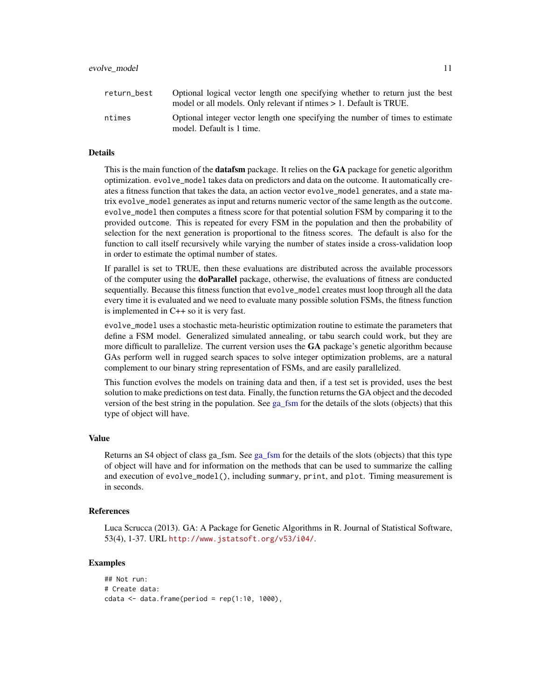<span id="page-10-0"></span>

| return best | Optional logical vector length one specifying whether to return just the best<br>model or all models. Only relevant if ntimes $> 1$ . Default is TRUE. |
|-------------|--------------------------------------------------------------------------------------------------------------------------------------------------------|
| ntimes      | Optional integer vector length one specifying the number of times to estimate<br>model. Default is 1 time.                                             |

#### Details

This is the main function of the **datafsm** package. It relies on the **GA** package for genetic algorithm optimization. evolve\_model takes data on predictors and data on the outcome. It automatically creates a fitness function that takes the data, an action vector evolve\_model generates, and a state matrix evolve\_model generates as input and returns numeric vector of the same length as the outcome. evolve\_model then computes a fitness score for that potential solution FSM by comparing it to the provided outcome. This is repeated for every FSM in the population and then the probability of selection for the next generation is proportional to the fitness scores. The default is also for the function to call itself recursively while varying the number of states inside a cross-validation loop in order to estimate the optimal number of states.

If parallel is set to TRUE, then these evaluations are distributed across the available processors of the computer using the doParallel package, otherwise, the evaluations of fitness are conducted sequentially. Because this fitness function that evolve\_model creates must loop through all the data every time it is evaluated and we need to evaluate many possible solution FSMs, the fitness function is implemented in C++ so it is very fast.

evolve\_model uses a stochastic meta-heuristic optimization routine to estimate the parameters that define a FSM model. Generalized simulated annealing, or tabu search could work, but they are more difficult to parallelize. The current version uses the  $GA$  package's genetic algorithm because GAs perform well in rugged search spaces to solve integer optimization problems, are a natural complement to our binary string representation of FSMs, and are easily parallelized.

This function evolves the models on training data and then, if a test set is provided, uses the best solution to make predictions on test data. Finally, the function returns the GA object and the decoded version of the best string in the population. See [ga\\_fsm](#page-17-1) for the details of the slots (objects) that this type of object will have.

#### Value

Returns an S4 object of class ga\_fsm. See [ga\\_fsm](#page-17-1) for the details of the slots (objects) that this type of object will have and for information on the methods that can be used to summarize the calling and execution of evolve\_model(), including summary, print, and plot. Timing measurement is in seconds.

# References

Luca Scrucca (2013). GA: A Package for Genetic Algorithms in R. Journal of Statistical Software, 53(4), 1-37. URL <http://www.jstatsoft.org/v53/i04/>.

#### Examples

```
## Not run:
# Create data:
cdata < - data.frame(period = rep(1:10, 1000),
```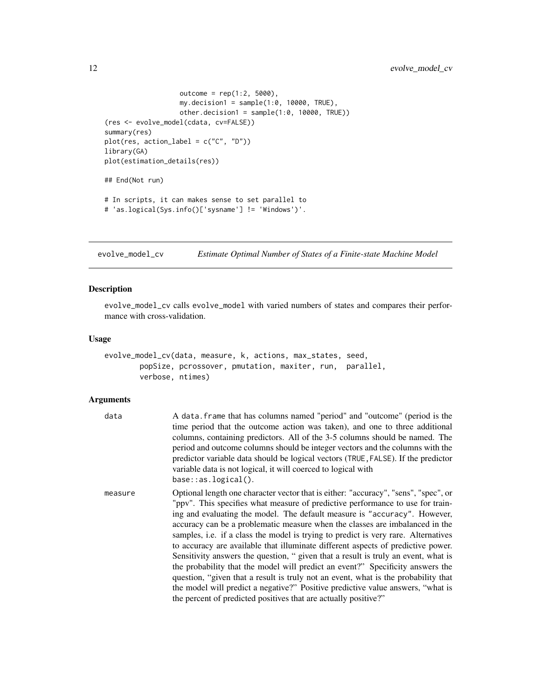```
outcome = rep(1:2, 5000),my.decision1 = sample(1:0, 10000, TRUE),other.decision1 = sample(1:0, 10000, TRUE))
(res <- evolve_model(cdata, cv=FALSE))
summary(res)
plot(res, action_label = c("C", "D"))
library(GA)
plot(estimation_details(res))
## End(Not run)
# In scripts, it can makes sense to set parallel to
# 'as.logical(Sys.info()['sysname'] != 'Windows')'.
```
<span id="page-11-1"></span>evolve\_model\_cv *Estimate Optimal Number of States of a Finite-state Machine Model*

#### Description

evolve\_model\_cv calls evolve\_model with varied numbers of states and compares their performance with cross-validation.

#### Usage

```
evolve_model_cv(data, measure, k, actions, max_states, seed,
       popSize, pcrossover, pmutation, maxiter, run, parallel,
       verbose, ntimes)
```

| data    | A data. frame that has columns named "period" and "outcome" (period is the<br>time period that the outcome action was taken), and one to three additional<br>columns, containing predictors. All of the 3-5 columns should be named. The<br>period and outcome columns should be integer vectors and the columns with the<br>predictor variable data should be logical vectors (TRUE, FALSE). If the predictor<br>variable data is not logical, it will coerced to logical with<br>$base::as.logical()$ .                                                                                                                                                                                                                                                                                                                                                                                                                        |
|---------|----------------------------------------------------------------------------------------------------------------------------------------------------------------------------------------------------------------------------------------------------------------------------------------------------------------------------------------------------------------------------------------------------------------------------------------------------------------------------------------------------------------------------------------------------------------------------------------------------------------------------------------------------------------------------------------------------------------------------------------------------------------------------------------------------------------------------------------------------------------------------------------------------------------------------------|
| measure | Optional length one character vector that is either: "accuracy", "sens", "spec", or<br>"ppv". This specifies what measure of predictive performance to use for train-<br>ing and evaluating the model. The default measure is "accuracy". However,<br>accuracy can be a problematic measure when the classes are imbalanced in the<br>samples, i.e. if a class the model is trying to predict is very rare. Alternatives<br>to accuracy are available that illuminate different aspects of predictive power.<br>Sensitivity answers the question, " given that a result is truly an event, what is<br>the probability that the model will predict an event?" Specificity answers the<br>question, "given that a result is truly not an event, what is the probability that<br>the model will predict a negative?" Positive predictive value answers, "what is<br>the percent of predicted positives that are actually positive?" |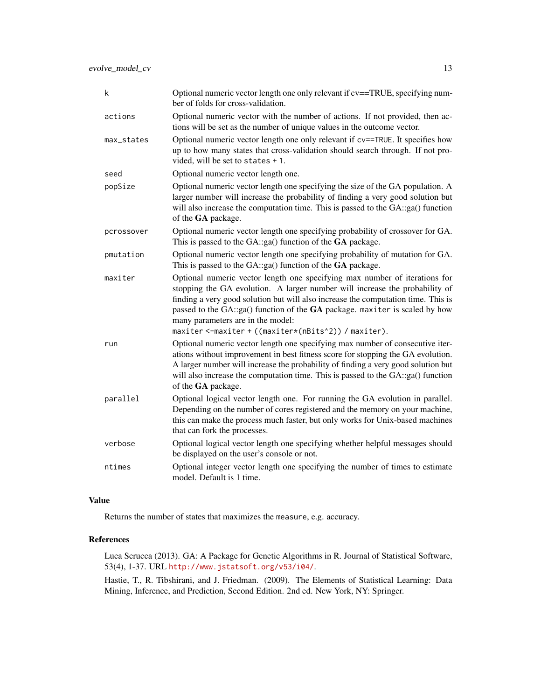| k          | Optional numeric vector length one only relevant if cv==TRUE, specifying num-<br>ber of folds for cross-validation.                                                                                                                                                                                                                                                                                                        |
|------------|----------------------------------------------------------------------------------------------------------------------------------------------------------------------------------------------------------------------------------------------------------------------------------------------------------------------------------------------------------------------------------------------------------------------------|
| actions    | Optional numeric vector with the number of actions. If not provided, then ac-<br>tions will be set as the number of unique values in the outcome vector.                                                                                                                                                                                                                                                                   |
| max_states | Optional numeric vector length one only relevant if cv==TRUE. It specifies how<br>up to how many states that cross-validation should search through. If not pro-<br>vided, will be set to states + 1.                                                                                                                                                                                                                      |
| seed       | Optional numeric vector length one.                                                                                                                                                                                                                                                                                                                                                                                        |
| popSize    | Optional numeric vector length one specifying the size of the GA population. A<br>larger number will increase the probability of finding a very good solution but<br>will also increase the computation time. This is passed to the GA::ga() function<br>of the GA package.                                                                                                                                                |
| pcrossover | Optional numeric vector length one specifying probability of crossover for GA.<br>This is passed to the $GA::ga()$ function of the $GA$ package.                                                                                                                                                                                                                                                                           |
| pmutation  | Optional numeric vector length one specifying probability of mutation for GA.<br>This is passed to the GA::ga() function of the GA package.                                                                                                                                                                                                                                                                                |
| maxiter    | Optional numeric vector length one specifying max number of iterations for<br>stopping the GA evolution. A larger number will increase the probability of<br>finding a very good solution but will also increase the computation time. This is<br>passed to the GA::ga() function of the GA package. maxiter is scaled by how<br>many parameters are in the model:<br>maxiter <-maxiter + ((maxiter*(nBits^2)) / maxiter). |
| run        | Optional numeric vector length one specifying max number of consecutive iter-<br>ations without improvement in best fitness score for stopping the GA evolution.<br>A larger number will increase the probability of finding a very good solution but<br>will also increase the computation time. This is passed to the GA::ga() function<br>of the GA package.                                                            |
| parallel   | Optional logical vector length one. For running the GA evolution in parallel.<br>Depending on the number of cores registered and the memory on your machine,<br>this can make the process much faster, but only works for Unix-based machines<br>that can fork the processes.                                                                                                                                              |
| verbose    | Optional logical vector length one specifying whether helpful messages should<br>be displayed on the user's console or not.                                                                                                                                                                                                                                                                                                |
| ntimes     | Optional integer vector length one specifying the number of times to estimate<br>model. Default is 1 time.                                                                                                                                                                                                                                                                                                                 |

# Value

Returns the number of states that maximizes the measure, e.g. accuracy.

# References

Luca Scrucca (2013). GA: A Package for Genetic Algorithms in R. Journal of Statistical Software, 53(4), 1-37. URL <http://www.jstatsoft.org/v53/i04/>.

Hastie, T., R. Tibshirani, and J. Friedman. (2009). The Elements of Statistical Learning: Data Mining, Inference, and Prediction, Second Edition. 2nd ed. New York, NY: Springer.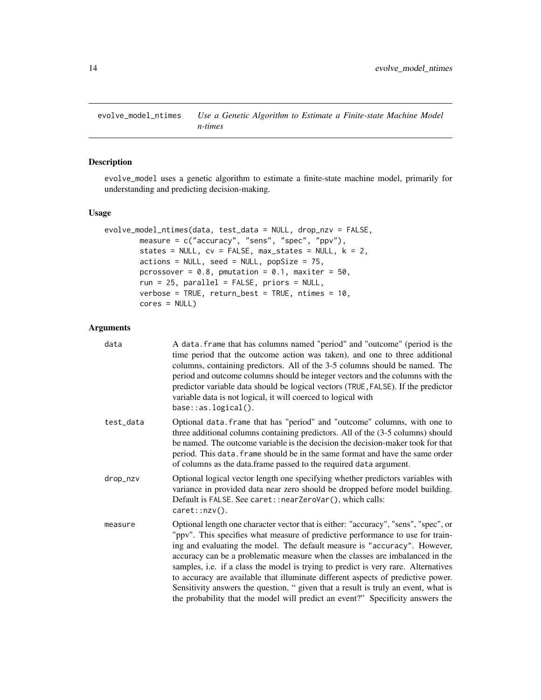<span id="page-13-0"></span>evolve\_model\_ntimes *Use a Genetic Algorithm to Estimate a Finite-state Machine Model n-times*

#### Description

evolve\_model uses a genetic algorithm to estimate a finite-state machine model, primarily for understanding and predicting decision-making.

#### Usage

```
evolve_model_ntimes(data, test_data = NULL, drop_nzv = FALSE,
        measure = c("accuracy", "sens", "spec", "ppv"),
        states = NULL, cv = FALSE, max\_states = NULL, k = 2,actions = NULL, seed = NULL, popSize = 75,
        pcrossover = 0.8, pmutation = 0.1, maxiter = 50,
        run = 25, parallel = FALSE, priors = NULL,
        verbose = TRUE, return_best = TRUE, ntimes = 10,
        cores = NULL)
```

| data      | A data. frame that has columns named "period" and "outcome" (period is the<br>time period that the outcome action was taken), and one to three additional<br>columns, containing predictors. All of the 3-5 columns should be named. The<br>period and outcome columns should be integer vectors and the columns with the<br>predictor variable data should be logical vectors (TRUE, FALSE). If the predictor<br>variable data is not logical, it will coerced to logical with<br>$base::as.logical()$ .                                                                                                                                                                            |
|-----------|--------------------------------------------------------------------------------------------------------------------------------------------------------------------------------------------------------------------------------------------------------------------------------------------------------------------------------------------------------------------------------------------------------------------------------------------------------------------------------------------------------------------------------------------------------------------------------------------------------------------------------------------------------------------------------------|
| test_data | Optional data. frame that has "period" and "outcome" columns, with one to<br>three additional columns containing predictors. All of the (3-5 columns) should<br>be named. The outcome variable is the decision the decision-maker took for that<br>period. This data. frame should be in the same format and have the same order<br>of columns as the data.frame passed to the required data argument.                                                                                                                                                                                                                                                                               |
| drop_nzv  | Optional logical vector length one specifying whether predictors variables with<br>variance in provided data near zero should be dropped before model building.<br>Default is FALSE. See caret:: nearZeroVar(), which calls:<br>$caret::nzv()$ .                                                                                                                                                                                                                                                                                                                                                                                                                                     |
| measure   | Optional length one character vector that is either: "accuracy", "sens", "spec", or<br>"ppv". This specifies what measure of predictive performance to use for train-<br>ing and evaluating the model. The default measure is "accuracy". However,<br>accuracy can be a problematic measure when the classes are imbalanced in the<br>samples, i.e. if a class the model is trying to predict is very rare. Alternatives<br>to accuracy are available that illuminate different aspects of predictive power.<br>Sensitivity answers the question, " given that a result is truly an event, what is<br>the probability that the model will predict an event?" Specificity answers the |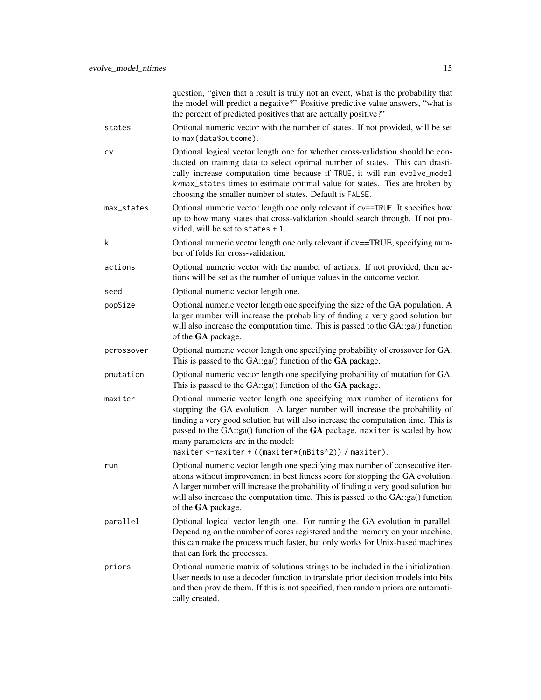|            | question, "given that a result is truly not an event, what is the probability that<br>the model will predict a negative?" Positive predictive value answers, "what is<br>the percent of predicted positives that are actually positive?"                                                                                                                                                                                   |
|------------|----------------------------------------------------------------------------------------------------------------------------------------------------------------------------------------------------------------------------------------------------------------------------------------------------------------------------------------------------------------------------------------------------------------------------|
| states     | Optional numeric vector with the number of states. If not provided, will be set<br>to max(data\$outcome).                                                                                                                                                                                                                                                                                                                  |
| CV         | Optional logical vector length one for whether cross-validation should be con-<br>ducted on training data to select optimal number of states. This can drasti-<br>cally increase computation time because if TRUE, it will run evolve_model<br>k*max_states times to estimate optimal value for states. Ties are broken by<br>choosing the smaller number of states. Default is FALSE.                                     |
| max_states | Optional numeric vector length one only relevant if cv==TRUE. It specifies how<br>up to how many states that cross-validation should search through. If not pro-<br>vided, will be set to states + 1.                                                                                                                                                                                                                      |
| k          | Optional numeric vector length one only relevant if cv==TRUE, specifying num-<br>ber of folds for cross-validation.                                                                                                                                                                                                                                                                                                        |
| actions    | Optional numeric vector with the number of actions. If not provided, then ac-<br>tions will be set as the number of unique values in the outcome vector.                                                                                                                                                                                                                                                                   |
| seed       | Optional numeric vector length one.                                                                                                                                                                                                                                                                                                                                                                                        |
| popSize    | Optional numeric vector length one specifying the size of the GA population. A<br>larger number will increase the probability of finding a very good solution but<br>will also increase the computation time. This is passed to the GA::ga() function<br>of the GA package.                                                                                                                                                |
| pcrossover | Optional numeric vector length one specifying probability of crossover for GA.<br>This is passed to the GA::ga() function of the GA package.                                                                                                                                                                                                                                                                               |
| pmutation  | Optional numeric vector length one specifying probability of mutation for GA.<br>This is passed to the GA::ga() function of the GA package.                                                                                                                                                                                                                                                                                |
| maxiter    | Optional numeric vector length one specifying max number of iterations for<br>stopping the GA evolution. A larger number will increase the probability of<br>finding a very good solution but will also increase the computation time. This is<br>passed to the GA::ga() function of the GA package. maxiter is scaled by how<br>many parameters are in the model:<br>maxiter <-maxiter + ((maxiter*(nBits^2)) / maxiter). |
| run        | Optional numeric vector length one specifying max number of consecutive iter-                                                                                                                                                                                                                                                                                                                                              |
|            | ations without improvement in best fitness score for stopping the GA evolution.<br>A larger number will increase the probability of finding a very good solution but<br>will also increase the computation time. This is passed to the GA::ga() function<br>of the GA package.                                                                                                                                             |
| parallel   | Optional logical vector length one. For running the GA evolution in parallel.<br>Depending on the number of cores registered and the memory on your machine,<br>this can make the process much faster, but only works for Unix-based machines<br>that can fork the processes.                                                                                                                                              |
| priors     | Optional numeric matrix of solutions strings to be included in the initialization.<br>User needs to use a decoder function to translate prior decision models into bits<br>and then provide them. If this is not specified, then random priors are automati-<br>cally created.                                                                                                                                             |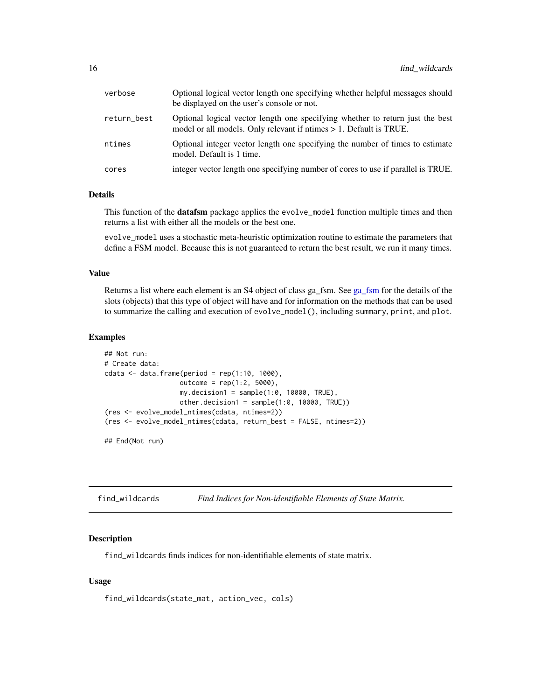<span id="page-15-0"></span>

| verbose     | Optional logical vector length one specifying whether helpful messages should<br>be displayed on the user's console or not.                         |
|-------------|-----------------------------------------------------------------------------------------------------------------------------------------------------|
| return_best | Optional logical vector length one specifying whether to return just the best<br>model or all models. Only relevant if ntimes > 1. Default is TRUE. |
| ntimes      | Optional integer vector length one specifying the number of times to estimate<br>model. Default is 1 time.                                          |
| cores       | integer vector length one specifying number of cores to use if parallel is TRUE.                                                                    |

# Details

This function of the **datafsm** package applies the evolve\_model function multiple times and then returns a list with either all the models or the best one.

evolve\_model uses a stochastic meta-heuristic optimization routine to estimate the parameters that define a FSM model. Because this is not guaranteed to return the best result, we run it many times.

#### Value

Returns a list where each element is an S4 object of class ga\_fsm. See [ga\\_fsm](#page-17-1) for the details of the slots (objects) that this type of object will have and for information on the methods that can be used to summarize the calling and execution of evolve\_model(), including summary, print, and plot.

#### Examples

```
## Not run:
# Create data:
cdata < - data. frame(period = rep(1:10, 1000),
                   outcome = rep(1:2, 5000),my.decision1 = sample(1:0, 10000, TRUE),
                   other.decision1 = sample(1:0, 10000, TRUE))
(res <- evolve_model_ntimes(cdata, ntimes=2))
(res <- evolve_model_ntimes(cdata, return_best = FALSE, ntimes=2))
## End(Not run)
```
find\_wildcards *Find Indices for Non-identifiable Elements of State Matrix.*

#### Description

find\_wildcards finds indices for non-identifiable elements of state matrix.

#### Usage

find\_wildcards(state\_mat, action\_vec, cols)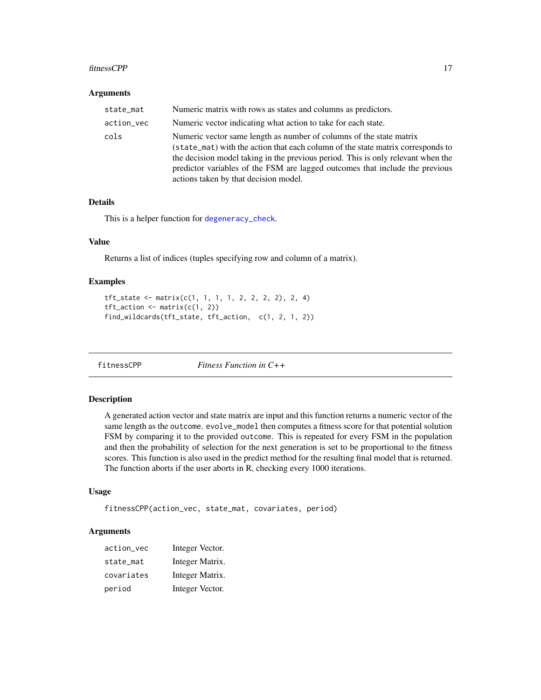#### <span id="page-16-0"></span>fitnessCPP 17

#### Arguments

| state_mat  | Numeric matrix with rows as states and columns as predictors.                                                                                                                                                                                                                                                                                                       |
|------------|---------------------------------------------------------------------------------------------------------------------------------------------------------------------------------------------------------------------------------------------------------------------------------------------------------------------------------------------------------------------|
| action_vec | Numeric vector indicating what action to take for each state.                                                                                                                                                                                                                                                                                                       |
| cols       | Numeric vector same length as number of columns of the state matrix<br>(state_mat) with the action that each column of the state matrix corresponds to<br>the decision model taking in the previous period. This is only relevant when the<br>predictor variables of the FSM are lagged outcomes that include the previous<br>actions taken by that decision model. |

# Details

This is a helper function for [degeneracy\\_check](#page-6-1).

#### Value

Returns a list of indices (tuples specifying row and column of a matrix).

#### Examples

```
tf<sub>L</sub>state <- matrix(c(1, 1, 1, 1, 2, 2, 2, 2), 2, 4)
tf<sub>-</sub>action \leq matrix(c(1, 2))
find_wildcards(tft_state, tft_action, c(1, 2, 1, 2))
```
<span id="page-16-1"></span>

fitnessCPP *Fitness Function in C++*

## Description

A generated action vector and state matrix are input and this function returns a numeric vector of the same length as the outcome. evolve\_model then computes a fitness score for that potential solution FSM by comparing it to the provided outcome. This is repeated for every FSM in the population and then the probability of selection for the next generation is set to be proportional to the fitness scores. This function is also used in the predict method for the resulting final model that is returned. The function aborts if the user aborts in R, checking every 1000 iterations.

# Usage

```
fitnessCPP(action_vec, state_mat, covariates, period)
```

| action_vec | Integer Vector. |
|------------|-----------------|
| state_mat  | Integer Matrix. |
| covariates | Integer Matrix. |
| period     | Integer Vector. |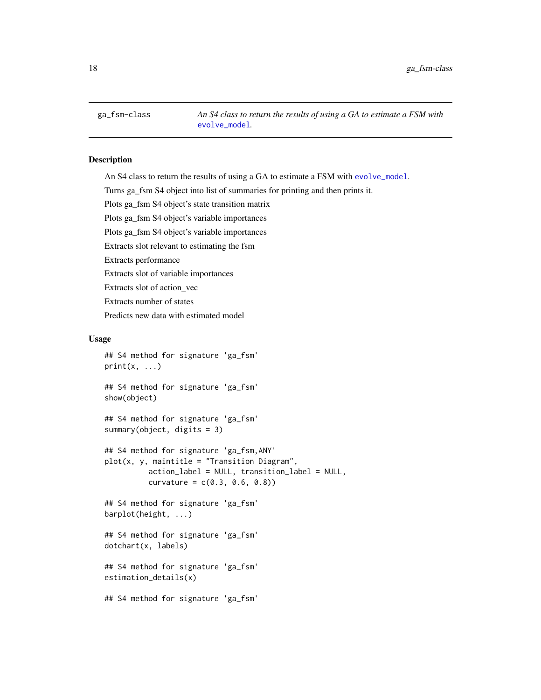<span id="page-17-1"></span><span id="page-17-0"></span>ga\_fsm-class *An S4 class to return the results of using a GA to estimate a FSM with* [evolve\\_model](#page-8-1)*.*

# Description

An S4 class to return the results of using a GA to estimate a FSM with [evolve\\_model](#page-8-1).

Turns ga\_fsm S4 object into list of summaries for printing and then prints it.

Plots ga\_fsm S4 object's state transition matrix

Plots ga\_fsm S4 object's variable importances

Plots ga\_fsm S4 object's variable importances

Extracts slot relevant to estimating the fsm

Extracts performance

Extracts slot of variable importances

Extracts slot of action\_vec

Extracts number of states

Predicts new data with estimated model

## Usage

```
## S4 method for signature 'ga_fsm'
print(x, \ldots)## S4 method for signature 'ga_fsm'
show(object)
## S4 method for signature 'ga_fsm'
summary(object, digits = 3)
## S4 method for signature 'ga_fsm,ANY'
plot(x, y, maintitle = "Transition Diagram",action_label = NULL, transition_label = NULL,
          curvature = c(0.3, 0.6, 0.8))## S4 method for signature 'ga_fsm'
barplot(height, ...)
## S4 method for signature 'ga_fsm'
dotchart(x, labels)
## S4 method for signature 'ga_fsm'
estimation_details(x)
## S4 method for signature 'ga_fsm'
```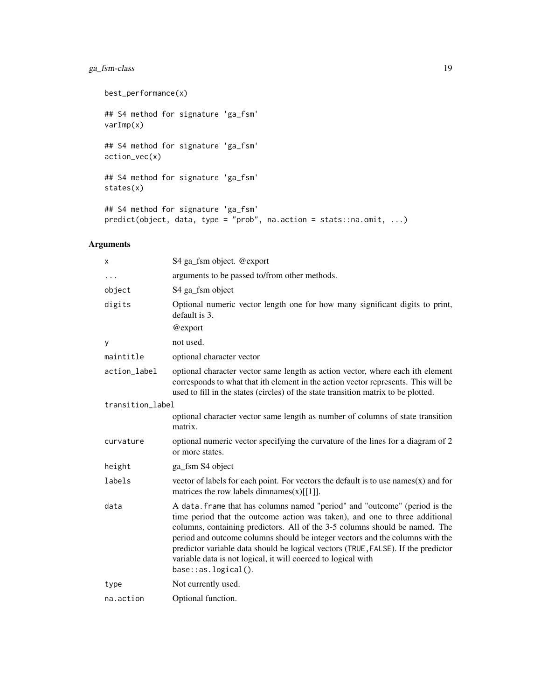# ga\_fsm-class 19

```
best_performance(x)
## S4 method for signature 'ga_fsm'
varImp(x)
## S4 method for signature 'ga_fsm'
action_vec(x)
## S4 method for signature 'ga_fsm'
states(x)
## S4 method for signature 'ga_fsm'
predict(object, data, type = "prob", na.action = stats::na.omit, ...)
```

| X                | S4 ga_fsm object. @export                                                                                                                                                                                                                                                                                                                                                                                                                                                                                 |
|------------------|-----------------------------------------------------------------------------------------------------------------------------------------------------------------------------------------------------------------------------------------------------------------------------------------------------------------------------------------------------------------------------------------------------------------------------------------------------------------------------------------------------------|
| .                | arguments to be passed to/from other methods.                                                                                                                                                                                                                                                                                                                                                                                                                                                             |
| object           | S4 ga_fsm object                                                                                                                                                                                                                                                                                                                                                                                                                                                                                          |
| digits           | Optional numeric vector length one for how many significant digits to print,<br>default is 3.                                                                                                                                                                                                                                                                                                                                                                                                             |
|                  | @export                                                                                                                                                                                                                                                                                                                                                                                                                                                                                                   |
| у                | not used.                                                                                                                                                                                                                                                                                                                                                                                                                                                                                                 |
| maintitle        | optional character vector                                                                                                                                                                                                                                                                                                                                                                                                                                                                                 |
| action_label     | optional character vector same length as action vector, where each ith element<br>corresponds to what that ith element in the action vector represents. This will be<br>used to fill in the states (circles) of the state transition matrix to be plotted.                                                                                                                                                                                                                                                |
| transition_label |                                                                                                                                                                                                                                                                                                                                                                                                                                                                                                           |
|                  | optional character vector same length as number of columns of state transition<br>matrix.                                                                                                                                                                                                                                                                                                                                                                                                                 |
| curvature        | optional numeric vector specifying the curvature of the lines for a diagram of 2<br>or more states.                                                                                                                                                                                                                                                                                                                                                                                                       |
| height           | ga_fsm S4 object                                                                                                                                                                                                                                                                                                                                                                                                                                                                                          |
| labels           | vector of labels for each point. For vectors the default is to use names $(x)$ and for<br>matrices the row labels dimnames $(x)[[1]]$ .                                                                                                                                                                                                                                                                                                                                                                   |
| data             | A data. frame that has columns named "period" and "outcome" (period is the<br>time period that the outcome action was taken), and one to three additional<br>columns, containing predictors. All of the 3-5 columns should be named. The<br>period and outcome columns should be integer vectors and the columns with the<br>predictor variable data should be logical vectors (TRUE, FALSE). If the predictor<br>variable data is not logical, it will coerced to logical with<br>$base::as.logical()$ . |
| type             | Not currently used.                                                                                                                                                                                                                                                                                                                                                                                                                                                                                       |
| na.action        | Optional function.                                                                                                                                                                                                                                                                                                                                                                                                                                                                                        |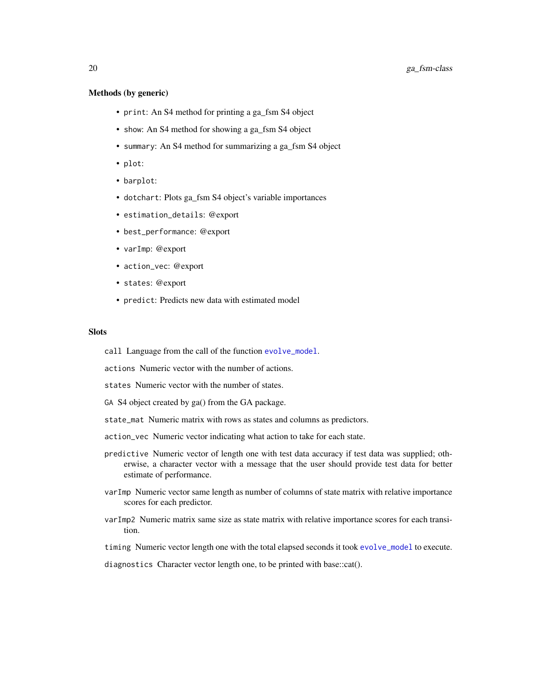#### <span id="page-19-0"></span>Methods (by generic)

- print: An S4 method for printing a ga\_fsm S4 object
- show: An S4 method for showing a ga\_fsm S4 object
- summary: An S4 method for summarizing a ga\_fsm S4 object
- plot:
- barplot:
- dotchart: Plots ga\_fsm S4 object's variable importances
- estimation\_details: @export
- best\_performance: @export
- varImp: @export
- action\_vec: @export
- states: @export
- predict: Predicts new data with estimated model

#### **Slots**

call Language from the call of the function [evolve\\_model](#page-8-1).

actions Numeric vector with the number of actions.

states Numeric vector with the number of states.

- GA S4 object created by ga() from the GA package.
- state\_mat Numeric matrix with rows as states and columns as predictors.
- action\_vec Numeric vector indicating what action to take for each state.
- predictive Numeric vector of length one with test data accuracy if test data was supplied; otherwise, a character vector with a message that the user should provide test data for better estimate of performance.
- varImp Numeric vector same length as number of columns of state matrix with relative importance scores for each predictor.
- varImp2 Numeric matrix same size as state matrix with relative importance scores for each transition.

timing Numeric vector length one with the total elapsed seconds it took [evolve\\_model](#page-8-1) to execute.

diagnostics Character vector length one, to be printed with base::cat().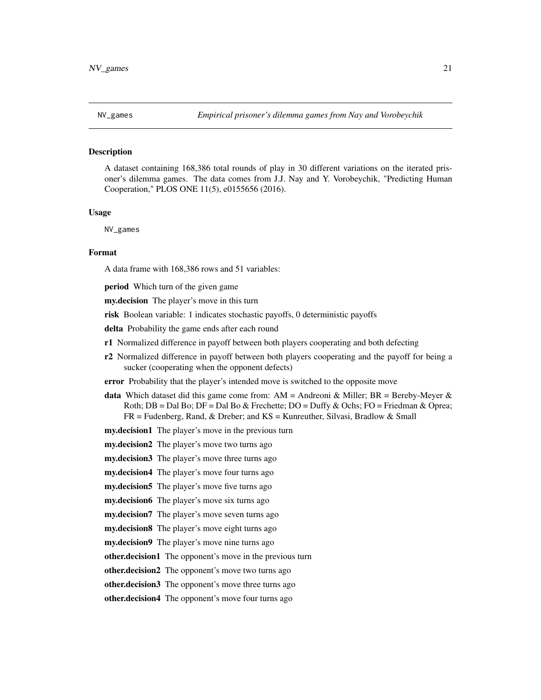<span id="page-20-0"></span>

#### **Description**

A dataset containing 168,386 total rounds of play in 30 different variations on the iterated prisoner's dilemma games. The data comes from J.J. Nay and Y. Vorobeychik, "Predicting Human Cooperation," PLOS ONE 11(5), e0155656 (2016).

#### Usage

NV\_games

# Format

A data frame with 168,386 rows and 51 variables:

period Which turn of the given game

my.decision The player's move in this turn

risk Boolean variable: 1 indicates stochastic payoffs, 0 deterministic payoffs

delta Probability the game ends after each round

- r1 Normalized difference in payoff between both players cooperating and both defecting
- r2 Normalized difference in payoff between both players cooperating and the payoff for being a sucker (cooperating when the opponent defects)

error Probability that the player's intended move is switched to the opposite move

**data** Which dataset did this game come from:  $AM =$  Andreoni & Miller; BR = Bereby-Meyer & Roth;  $DB = Dal$  Bo;  $DF = Dal$  Bo & Frechette;  $DO = Duffv$  & Ochs;  $FO = Friedman$  & Oprea; FR = Fudenberg, Rand, & Dreber; and KS = Kunreuther, Silvasi, Bradlow & Small

**my.decision1** The player's move in the previous turn

my.decision2 The player's move two turns ago

my.decision3 The player's move three turns ago

my.decision4 The player's move four turns ago

my.decision5 The player's move five turns ago

my.decision6 The player's move six turns ago

my.decision7 The player's move seven turns ago

my.decision8 The player's move eight turns ago

my.decision9 The player's move nine turns ago

other.decision1 The opponent's move in the previous turn

other.decision2 The opponent's move two turns ago

other.decision3 The opponent's move three turns ago

other.decision4 The opponent's move four turns ago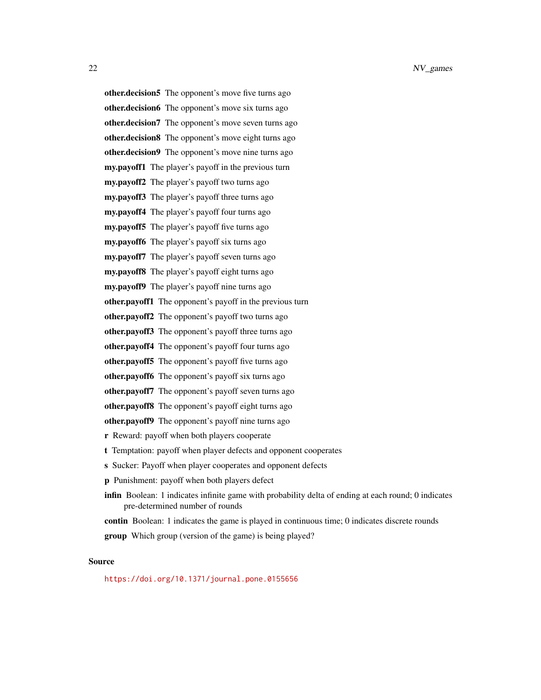other.decision5 The opponent's move five turns ago other.decision6 The opponent's move six turns ago

other.decision<sup>7</sup> The opponent's move seven turns ago

other.decision8 The opponent's move eight turns ago

other.decision9 The opponent's move nine turns ago

my.payoff1 The player's payoff in the previous turn

my.payoff2 The player's payoff two turns ago

my.payoff3 The player's payoff three turns ago

my.payoff4 The player's payoff four turns ago

my.payoff5 The player's payoff five turns ago

my.payoff6 The player's payoff six turns ago

my.payoff7 The player's payoff seven turns ago

my.payoff8 The player's payoff eight turns ago

my.payoff9 The player's payoff nine turns ago

other.payoff1 The opponent's payoff in the previous turn

other.payoff2 The opponent's payoff two turns ago

other.payoff3 The opponent's payoff three turns ago

other.payoff4 The opponent's payoff four turns ago

other.payoff5 The opponent's payoff five turns ago

other.payoff6 The opponent's payoff six turns ago

other.payoff7 The opponent's payoff seven turns ago

other.payoff8 The opponent's payoff eight turns ago

other.payoff9 The opponent's payoff nine turns ago

r Reward: payoff when both players cooperate

t Temptation: payoff when player defects and opponent cooperates

s Sucker: Payoff when player cooperates and opponent defects

p Punishment: payoff when both players defect

infin Boolean: 1 indicates infinite game with probability delta of ending at each round; 0 indicates pre-determined number of rounds

contin Boolean: 1 indicates the game is played in continuous time; 0 indicates discrete rounds

**group** Which group (version of the game) is being played?

#### Source

<https://doi.org/10.1371/journal.pone.0155656>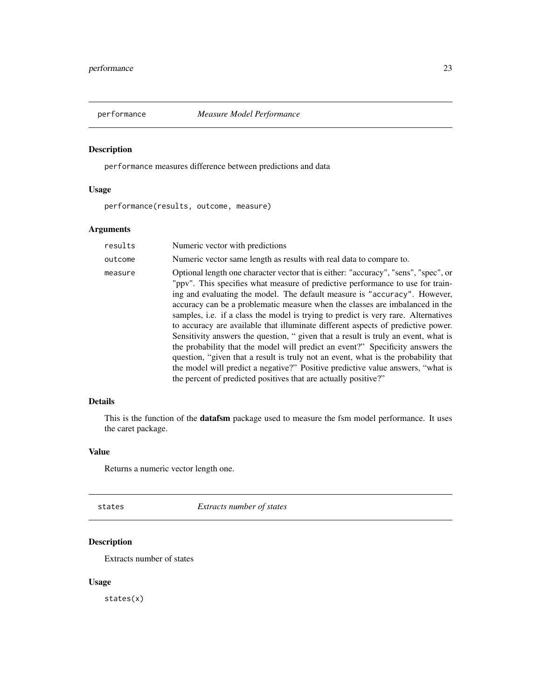<span id="page-22-0"></span>

# Description

performance measures difference between predictions and data

# Usage

performance(results, outcome, measure)

# Arguments

| results | Numeric vector with predictions                                                                                                                                                                                                                                                                                                                                                                                                                                                                                                                                                                                                                                                                                                                                                                                                                                                                                                  |
|---------|----------------------------------------------------------------------------------------------------------------------------------------------------------------------------------------------------------------------------------------------------------------------------------------------------------------------------------------------------------------------------------------------------------------------------------------------------------------------------------------------------------------------------------------------------------------------------------------------------------------------------------------------------------------------------------------------------------------------------------------------------------------------------------------------------------------------------------------------------------------------------------------------------------------------------------|
| outcome | Numeric vector same length as results with real data to compare to.                                                                                                                                                                                                                                                                                                                                                                                                                                                                                                                                                                                                                                                                                                                                                                                                                                                              |
| measure | Optional length one character vector that is either: "accuracy", "sens", "spec", or<br>"ppv". This specifies what measure of predictive performance to use for train-<br>ing and evaluating the model. The default measure is "accuracy". However,<br>accuracy can be a problematic measure when the classes are imbalanced in the<br>samples, i.e. if a class the model is trying to predict is very rare. Alternatives<br>to accuracy are available that illuminate different aspects of predictive power.<br>Sensitivity answers the question, " given that a result is truly an event, what is<br>the probability that the model will predict an event?" Specificity answers the<br>question, "given that a result is truly not an event, what is the probability that<br>the model will predict a negative?" Positive predictive value answers, "what is<br>the percent of predicted positives that are actually positive?" |

# Details

This is the function of the **datafsm** package used to measure the fsm model performance. It uses the caret package.

# Value

Returns a numeric vector length one.

states *Extracts number of states*

# Description

Extracts number of states

# Usage

states(x)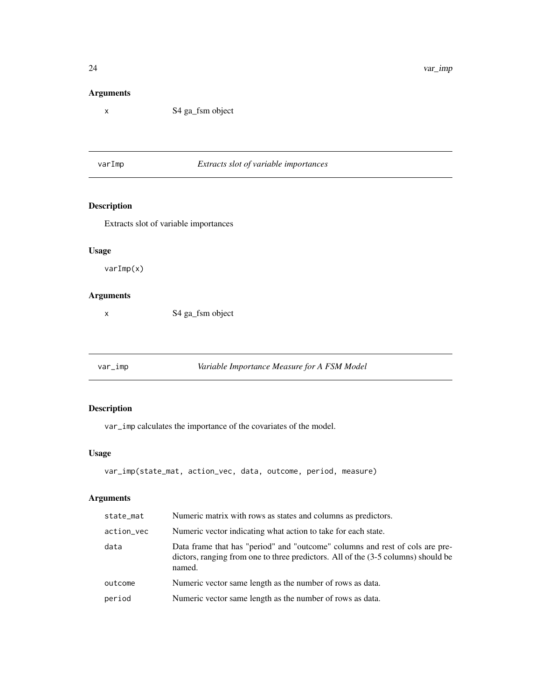# Arguments

x S4 ga\_fsm object

varImp *Extracts slot of variable importances*

# Description

Extracts slot of variable importances

# Usage

varImp(x)

#### Arguments

x S4 ga\_fsm object

<span id="page-23-1"></span>var\_imp *Variable Importance Measure for A FSM Model*

# Description

var\_imp calculates the importance of the covariates of the model.

# Usage

```
var_imp(state_mat, action_vec, data, outcome, period, measure)
```

| state_mat  | Numeric matrix with rows as states and columns as predictors.                                                                                                               |
|------------|-----------------------------------------------------------------------------------------------------------------------------------------------------------------------------|
| action_vec | Numeric vector indicating what action to take for each state.                                                                                                               |
| data       | Data frame that has "period" and "outcome" columns and rest of cols are pre-<br>dictors, ranging from one to three predictors. All of the (3-5 columns) should be<br>named. |
| outcome    | Numeric vector same length as the number of rows as data.                                                                                                                   |
| period     | Numeric vector same length as the number of rows as data.                                                                                                                   |
|            |                                                                                                                                                                             |

<span id="page-23-0"></span>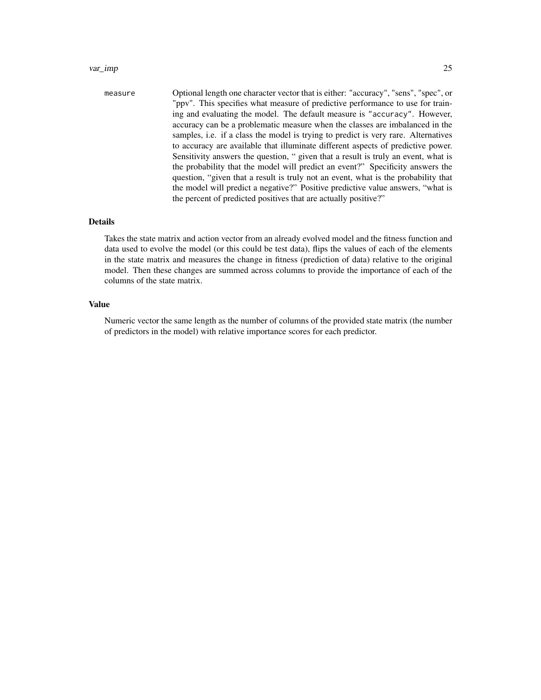#### var\_imp 25

measure Optional length one character vector that is either: "accuracy", "sens", "spec", or "ppv". This specifies what measure of predictive performance to use for training and evaluating the model. The default measure is "accuracy". However, accuracy can be a problematic measure when the classes are imbalanced in the samples, i.e. if a class the model is trying to predict is very rare. Alternatives to accuracy are available that illuminate different aspects of predictive power. Sensitivity answers the question, " given that a result is truly an event, what is the probability that the model will predict an event?" Specificity answers the question, "given that a result is truly not an event, what is the probability that the model will predict a negative?" Positive predictive value answers, "what is the percent of predicted positives that are actually positive?"

#### Details

Takes the state matrix and action vector from an already evolved model and the fitness function and data used to evolve the model (or this could be test data), flips the values of each of the elements in the state matrix and measures the change in fitness (prediction of data) relative to the original model. Then these changes are summed across columns to provide the importance of each of the columns of the state matrix.

#### Value

Numeric vector the same length as the number of columns of the provided state matrix (the number of predictors in the model) with relative importance scores for each predictor.